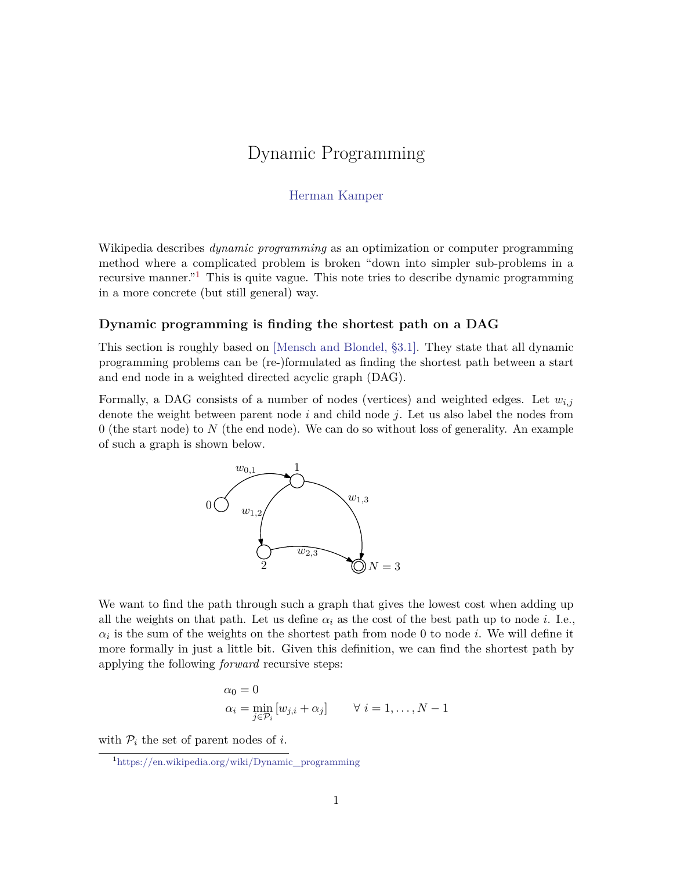# Dynamic Programming

# [Herman Kamper](https://www.kamperh.com/)

Wikipedia describes *dynamic programming* as an optimization or computer programming method where a complicated problem is broken "down into simpler sub-problems in a recursive manner."[1](#page-0-0) This is quite vague. This note tries to describe dynamic programming in a more concrete (but still general) way.

### **Dynamic programming is finding the shortest path on a DAG**

This section is roughly based on [\[Mensch and Blondel, §3.1\].](https://arxiv.org/abs/1802.03676) They state that all dynamic programming problems can be (re-)formulated as finding the shortest path between a start and end node in a weighted directed acyclic graph (DAG).

Formally, a DAG consists of a number of nodes (vertices) and weighted edges. Let  $w_{i,j}$ denote the weight between parent node *i* and child node *j*. Let us also label the nodes from 0 (the start node) to *N* (the end node). We can do so without loss of generality. An example of such a graph is shown below.



We want to find the path through such a graph that gives the lowest cost when adding up all the weights on that path. Let us define  $\alpha_i$  as the cost of the best path up to node *i*. I.e.,  $\alpha_i$  is the sum of the weights on the shortest path from node 0 to node *i*. We will define it more formally in just a little bit. Given this definition, we can find the shortest path by applying the following *forward* recursive steps:

$$
\alpha_0 = 0
$$
  
\n
$$
\alpha_i = \min_{j \in \mathcal{P}_i} [w_{j,i} + \alpha_j] \qquad \forall \ i = 1, ..., N - 1
$$

with  $P_i$  the set of parent nodes of *i*.

<span id="page-0-0"></span><sup>1</sup>[https://en.wikipedia.org/wiki/Dynamic\\_programming](https://en.wikipedia.org/wiki/Dynamic_programming)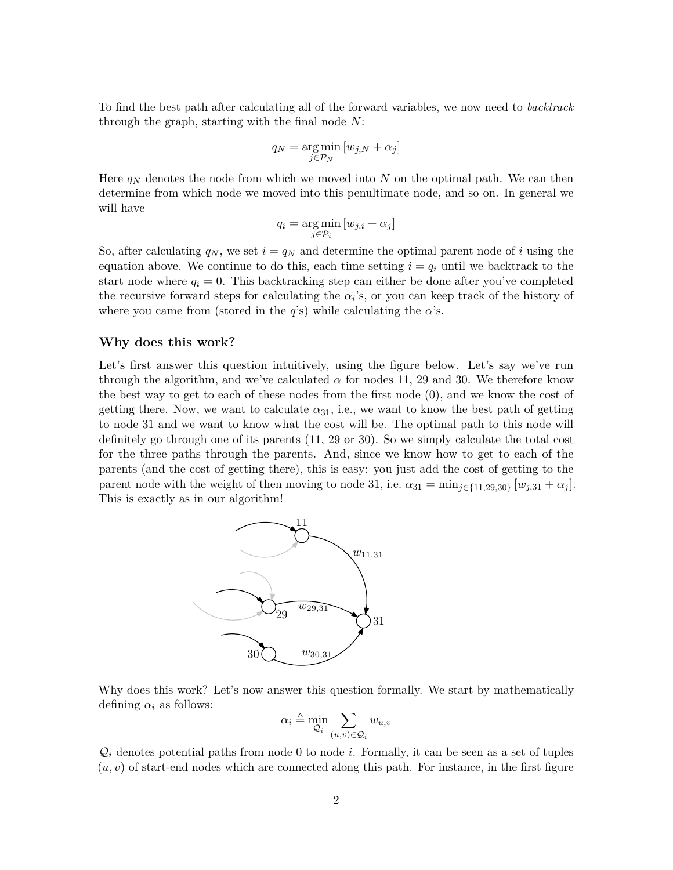To find the best path after calculating all of the forward variables, we now need to *backtrack* through the graph, starting with the final node *N*:

$$
q_N = \underset{j \in \mathcal{P}_N}{\arg \min} [w_{j,N} + \alpha_j]
$$

Here  $q_N$  denotes the node from which we moved into N on the optimal path. We can then determine from which node we moved into this penultimate node, and so on. In general we will have

$$
q_i = \underset{j \in \mathcal{P}_i}{\arg \min} [w_{j,i} + \alpha_j]
$$

So, after calculating  $q_N$ , we set  $i = q_N$  and determine the optimal parent node of i using the equation above. We continue to do this, each time setting  $i = q_i$  until we backtrack to the start node where  $q_i = 0$ . This backtracking step can either be done after you've completed the recursive forward steps for calculating the  $\alpha_i$ 's, or you can keep track of the history of where you came from (stored in the *q*'s) while calculating the  $\alpha$ 's.

#### **Why does this work?**

Let's first answer this question intuitively, using the figure below. Let's say we've run through the algorithm, and we've calculated  $\alpha$  for nodes 11, 29 and 30. We therefore know the best way to get to each of these nodes from the first node (0), and we know the cost of getting there. Now, we want to calculate  $\alpha_{31}$ , i.e., we want to know the best path of getting to node 31 and we want to know what the cost will be. The optimal path to this node will definitely go through one of its parents (11, 29 or 30). So we simply calculate the total cost for the three paths through the parents. And, since we know how to get to each of the parents (and the cost of getting there), this is easy: you just add the cost of getting to the parent node with the weight of then moving to node 31, i.e.  $\alpha_{31} = \min_{j \in \{11,29,30\}} [w_{j,31} + \alpha_j].$ This is exactly as in our algorithm!



Why does this work? Let's now answer this question formally. We start by mathematically defining  $\alpha_i$  as follows:

$$
\alpha_i \triangleq \min_{\mathcal{Q}_i} \sum_{(u,v) \in \mathcal{Q}_i} w_{u,v}
$$

 $\mathcal{Q}_i$  denotes potential paths from node 0 to node *i*. Formally, it can be seen as a set of tuples  $(u, v)$  of start-end nodes which are connected along this path. For instance, in the first figure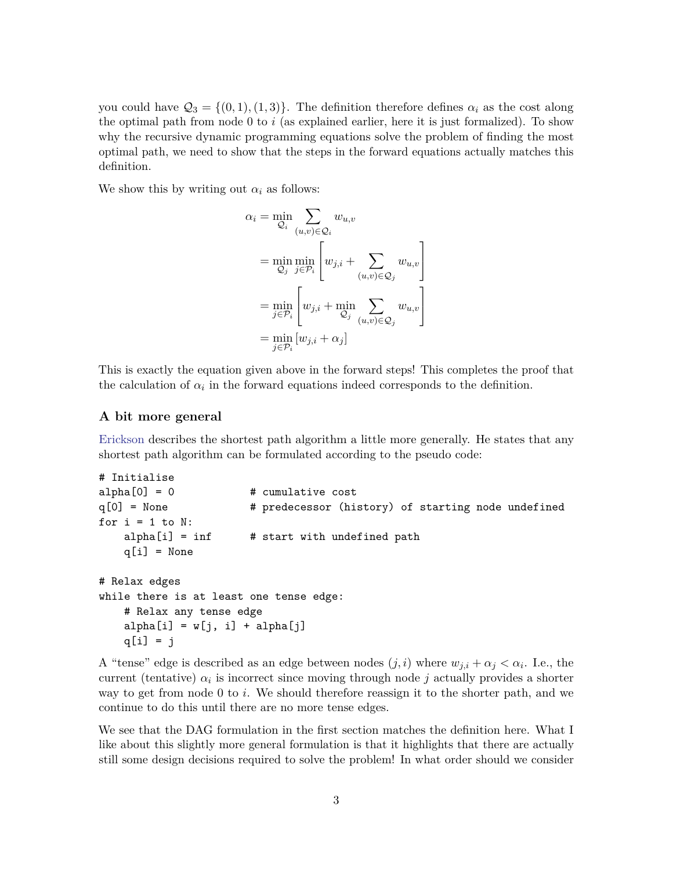you could have  $\mathcal{Q}_3 = \{(0,1), (1,3)\}.$  The definition therefore defines  $\alpha_i$  as the cost along the optimal path from node 0 to *i* (as explained earlier, here it is just formalized). To show why the recursive dynamic programming equations solve the problem of finding the most optimal path, we need to show that the steps in the forward equations actually matches this definition.

We show this by writing out  $\alpha_i$  as follows:

$$
\alpha_i = \min_{\mathcal{Q}_i} \sum_{(u,v) \in \mathcal{Q}_i} w_{u,v}
$$
  
= 
$$
\min_{\mathcal{Q}_j} \min_{j \in \mathcal{P}_i} \left[ w_{j,i} + \sum_{(u,v) \in \mathcal{Q}_j} w_{u,v} \right]
$$
  
= 
$$
\min_{j \in \mathcal{P}_i} \left[ w_{j,i} + \min_{\mathcal{Q}_j} \sum_{(u,v) \in \mathcal{Q}_j} w_{u,v} \right]
$$
  
= 
$$
\min_{j \in \mathcal{P}_i} \left[ w_{j,i} + \alpha_j \right]
$$

This is exactly the equation given above in the forward steps! This completes the proof that the calculation of  $\alpha_i$  in the forward equations indeed corresponds to the definition.

#### **A bit more general**

[Erickson](https://jeffe.cs.illinois.edu/teaching/algorithms/book/08-sssp.pdf) describes the shortest path algorithm a little more generally. He states that any shortest path algorithm can be formulated according to the pseudo code:

```
# Initialise
alpha[0] = 0 # cumulative cost
q[0] = None # predecessor (history) of starting node undefined
for i = 1 to N:
   alpha[i] = inf # start with undefined path
   q[i] = None# Relax edges
while there is at least one tense edge:
   # Relax any tense edge
   alpha[i] = w[j, i] + alpha[j]q[i] = j
```
A "tense" edge is described as an edge between nodes  $(j, i)$  where  $w_{j,i} + \alpha_j < \alpha_i$ . I.e., the current (tentative)  $\alpha_i$  is incorrect since moving through node *j* actually provides a shorter way to get from node 0 to *i*. We should therefore reassign it to the shorter path, and we continue to do this until there are no more tense edges.

We see that the DAG formulation in the first section matches the definition here. What I like about this slightly more general formulation is that it highlights that there are actually still some design decisions required to solve the problem! In what order should we consider